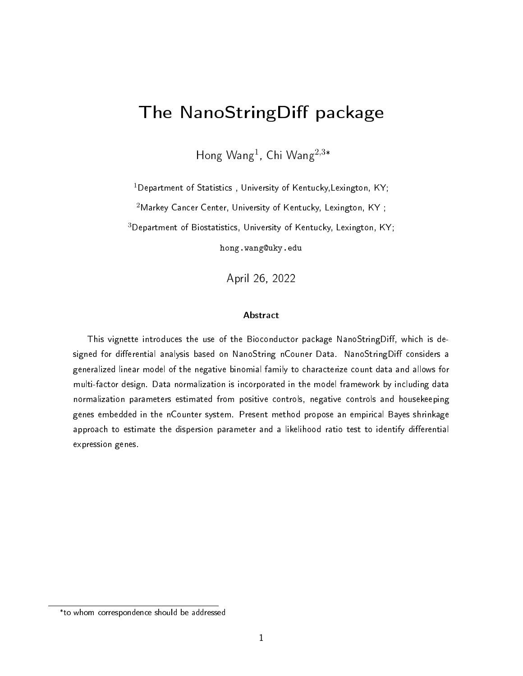# The NanoStringDiff package

Hong Wang<sup>1</sup>, Chi Wang<sup>2,3\*</sup>

 $1$ Department of Statistics, University of Kentucky, Lexington, KY;

 $2$ Markey Cancer Center, University of Kentucky, Lexington, KY;

<sup>3</sup>Department of Biostatistics, University of Kentucky, Lexington, KY;

hong.wang@uky.edu

April 26, 2022

#### Abstract

This vignette introduces the use of the Bioconductor package NanoStringDiff, which is designed for differential analysis based on NanoString nCouner Data. NanoStringDiff considers a generalized linear model of the negative binomial family to characterize count data and allows for multi-factor design. Data normalization is incorporated in the model framework by including data normalization parameters estimated from positive controls, negative controls and housekeeping genes embedded in the nCounter system. Present method propose an empirical Bayes shrinkage approach to estimate the dispersion parameter and a likelihood ratio test to identify differential expression genes.

<sup>\*</sup> to whom correspondence should be addressed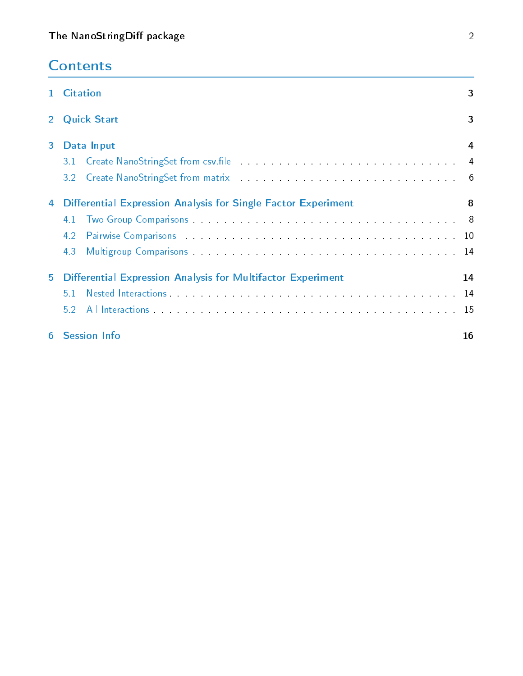|  |  | <b>Contents</b> |
|--|--|-----------------|
|  |  |                 |

|   | 1 Citation                                                                                                                                                                                                                            | 3  |
|---|---------------------------------------------------------------------------------------------------------------------------------------------------------------------------------------------------------------------------------------|----|
|   | 2 Quick Start                                                                                                                                                                                                                         | 3  |
| 3 | Data Input                                                                                                                                                                                                                            | 4  |
|   | Create NanoStringSet from csv.file 44<br>3.1                                                                                                                                                                                          |    |
|   | Create NanoStringSet from matrix and the contract of the contract of the contract of the contract of the contract of the contract of the contract of the contract of the contract of the contract of the contract of the contr<br>3.2 |    |
| 4 | Differential Expression Analysis for Single Factor Experiment                                                                                                                                                                         | 8  |
|   | 4.1                                                                                                                                                                                                                                   |    |
|   | Pairwise Comparisons and the contract of the contract of the contract of the contract of the contract of the contract of the contract of the contract of the contract of the contract of the contract of the contract of the c<br>4.2 |    |
|   | 4.3                                                                                                                                                                                                                                   |    |
| 5 | <b>Differential Expression Analysis for Multifactor Experiment</b>                                                                                                                                                                    | 14 |
|   | Nested Interactions and a series of the series of the series of the series of the series of the series of the series of the series of the series of the series of the series of the series of the series of the series of the<br>51   |    |
|   | 5.2                                                                                                                                                                                                                                   |    |
| 6 | <b>Session Info</b>                                                                                                                                                                                                                   | 16 |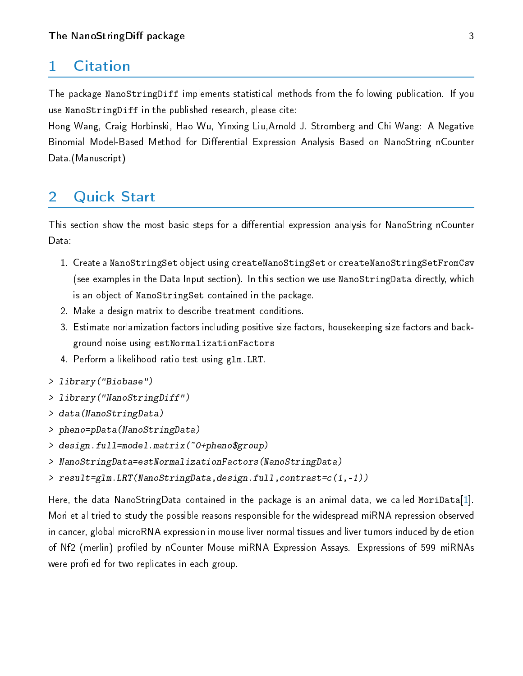### <span id="page-2-0"></span>1 Citation

The package NanoStringDiff implements statistical methods from the following publication. If you use NanoStringDiff in the published research, please cite:

Hong Wang, Craig Horbinski, Hao Wu, Yinxing Liu,Arnold J. Stromberg and Chi Wang: A Negative Binomial Model-Based Method for Differential Expression Analysis Based on NanoString nCounter Data (Manuscript)

## <span id="page-2-1"></span>2 Quick Start

This section show the most basic steps for a differential expression analysis for NanoString nCounter Data:

- 1. Create a NanoStringSet object using createNanoStingSet or createNanoStringSetFromCsv (see examples in the Data Input section). In this section we use NanoStringData directly, which is an object of NanoStringSet contained in the package.
- 2. Make a design matrix to describe treatment conditions.
- 3. Estimate norlamization factors including positive size factors, housekeeping size factors and background noise using estNormalizationFactors
- 4. Perform a likelihood ratio test using glm.LRT.
- > library("Biobase")
- > library("NanoStringDiff")
- > data(NanoStringData)
- > pheno=pData(NanoStringData)
- > design.full=model.matrix(~0+pheno\$group)
- > NanoStringData=estNormalizationFactors(NanoStringData)
- > result=glm.LRT(NanoStringData,design.full,contrast=c(1,-1))

<span id="page-2-2"></span>Here, the data NanoStringData contained in the package is an animal data, we called MoriData[\[1\]](#page-16-0). Mori et al tried to study the possible reasons responsible for the widespread miRNA repression observed in cancer, global microRNA expression in mouse liver normal tissues and liver tumors induced by deletion of Nf2 (merlin) profiled by nCounter Mouse miRNA Expression Assays. Expressions of 599 miRNAs were profiled for two replicates in each group.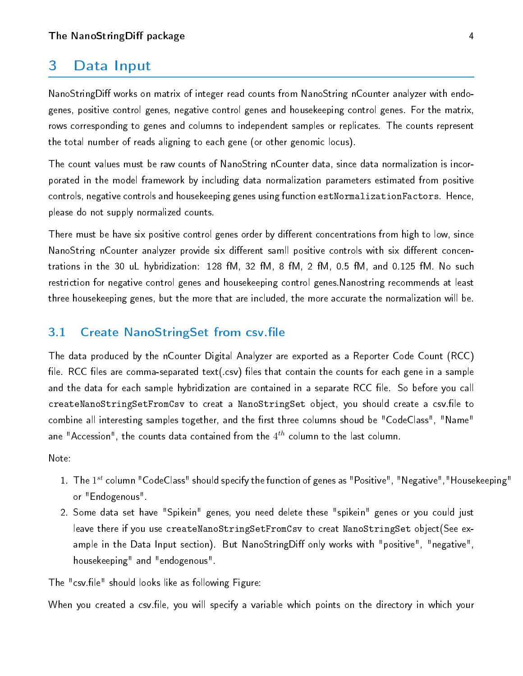#### 3 Data Input

NanoStringDiff works on matrix of integer read counts from NanoString nCounter analyzer with endogenes, positive control genes, negative control genes and housekeeping control genes. For the matrix, rows corresponding to genes and columns to independent samples or replicates. The counts represent the total number of reads aligning to each gene (or other genomic locus).

The count values must be raw counts of NanoString nCounter data, since data normalization is incorporated in the model framework by including data normalization parameters estimated from positive controls, negative controls and housekeeping genes using function estNormalizationFactors. Hence, please do not supply normalized counts.

There must be have six positive control genes order by different concentrations from high to low, since NanoString nCounter analyzer provide six different samll positive controls with six different concentrations in the 30 uL hybridization: 128 fM, 32 fM, 8 fM, 2 fM, 0.5 fM, and 0.125 fM. No such restriction for negative control genes and housekeeping control genes.Nanostring recommends at least three housekeeping genes, but the more that are included, the more accurate the normalization will be.

#### <span id="page-3-0"></span>3.1 Create NanoStringSet from csv.file

The data produced by the nCounter Digital Analyzer are exported as a Reporter Code Count (RCC) file. RCC files are comma-separated text(.csv) files that contain the counts for each gene in a sample and the data for each sample hybridization are contained in a separate RCC file. So before you call createNanoStringSetFromCsv to creat a NanoStringSet object, you should create a csv.file to combine all interesting samples together, and the first three columns shoud be "CodeClass", "Name" ane "Accession", the counts data contained from the  $4^{th}$  column to the last column.

Note:

- 1. The  $1^{st}$  column "CodeClass" should specify the function of genes as "Positive", "Negative","Housekeeping" or "Endogenous".
- 2. Some data set have "Spikein" genes, you need delete these "spikein" genes or you could just leave there if you use createNanoStringSetFromCsv to creat NanoStringSet object(See example in the Data Input section). But NanoStringDiff only works with "positive", "negative", housekeeping" and "endogenous".

The "csv.file" should looks like as following Figure:

When you created a csv.file, you will specify a variable which points on the directory in which your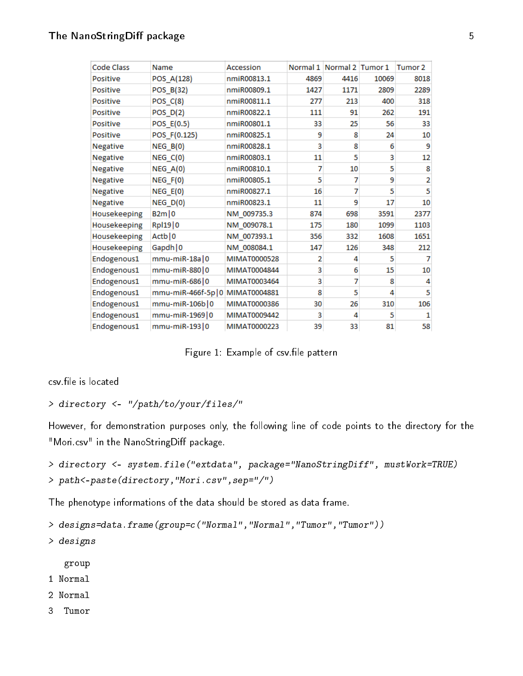| <b>Code Class</b> | Name                | Accession    | Normal 1       | Normal 2 Tumor 1 |       | Tumor <sub>2</sub> |
|-------------------|---------------------|--------------|----------------|------------------|-------|--------------------|
| <b>Positive</b>   | POS_A(128)          | nmiR00813.1  | 4869           | 4416             | 10069 | 8018               |
| <b>Positive</b>   | POS B(32)           | nmiR00809.1  | 1427           | 1171             | 2809  | 2289               |
| <b>Positive</b>   | $POS_C(8)$          | nmiR00811.1  | 277            | 213              | 400   | 318                |
| <b>Positive</b>   | $POS_D(2)$          | nmiR00822.1  | 111            | 91               | 262   | 191                |
| <b>Positive</b>   | POS_E(0.5)          | nmiR00801.1  | 33             | 25               | 56    | 33                 |
| <b>Positive</b>   | POS_F(0.125)        | nmiR00825.1  | 9              | 8                | 24    | 10                 |
| Negative          | NEG B(0)            | nmiR00828.1  | 3              | 8                | 6     | 9                  |
| <b>Negative</b>   | $NEG_C(0)$          | nmiR00803.1  | 11             | 5                | 3     | 12                 |
| <b>Negative</b>   | $NEG_A(0)$          | nmiR00810.1  | 7              | 10               | 5     | 8                  |
| <b>Negative</b>   | $NEG_F(0)$          | nmiR00805.1  | 5              | 7                | 9     | $\overline{2}$     |
| <b>Negative</b>   | $NEG_E(0)$          | nmiR00827.1  | 16             | 7                | 5     | 5                  |
| Negative          | $NEG_D(0)$          | nmiR00823.1  | 11             | 9                | 17    | 10                 |
| Housekeeping      | B2m 0               | NM 009735.3  | 874            | 698              | 3591  | 2377               |
| Housekeeping      | Rp119 0             | NM 009078.1  | 175            | 180              | 1099  | 1103               |
| Housekeeping      | Actb   0            | NM 007393.1  | 356            | 332              | 1608  | 1651               |
| Housekeeping      | Gapdh   0           | NM 008084.1  | 147            | 126              | 348   | 212                |
| Endogenous1       | $mmu$ -miR-18a $ 0$ | MIMAT0000528 | $\overline{2}$ | 4                | 5     | 7                  |
| Endogenous1       | mmu-miR-880 0       | MIMAT0004844 | 3              | 6                | 15    | 10                 |
| Endogenous1       | mmu-miR-686 0       | MIMAT0003464 | 3              | 7                | 8     | 4                  |
| Endogenous1       | mmu-miR-466f-5p 0   | MIMAT0004881 | 8              | 5                | 4     | 5                  |
| Endogenous1       | mmu-miR-106b 0      | MIMAT0000386 | 30             | 26               | 310   | 106                |
| Endogenous1       | mmu-miR-1969 0      | MIMAT0009442 | 3              | 4                | 5     | 1                  |
| Endogenous1       | mmu-miR-193 0       | MIMAT0000223 | 39             | 33               | 81    | 58                 |

Figure 1: Example of csv.file pattern

csy file is located

```
> directory <- "/path/to/your/files/"
```
However, for demonstration purposes only, the following line of code points to the directory for the "Mori.csv" in the NanoStringDiff package.

```
> directory <- system.file("extdata", package="NanoStringDiff", mustWork=TRUE)
> path<-paste(directory,"Mori.csv",sep="/")
```
The phenotype informations of the data should be stored as data frame.

```
> designs=data.frame(group=c("Normal","Normal","Tumor","Tumor"))
```
> designs

group

- 1 Normal
- 2 Normal

3 Tumor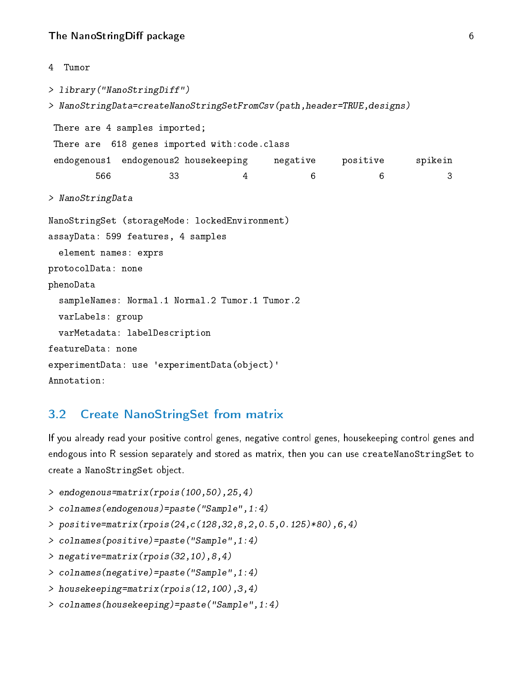#### The NanoStringDiff package 6 and 2008 6 and 2008 6 and 2008 6 and 2008 6 and 2008 6 and 2008 6 and 2008 6 and 2008 6 and 2008 6 and 2008 6 and 2008 6 and 2008 6 and 2008 6 and 2008 6 and 2008 6 and 2008 6 and 2008 6 and 20

```
4 Tumor
> library("NanoStringDiff")
> NanoStringData=createNanoStringSetFromCsv(path,header=TRUE,designs)
There are 4 samples imported;
There are 618 genes imported with:code.class
 endogenous1 endogenous2 housekeeping negative positive spikein
        566 33 4 6 6 3
> NanoStringData
NanoStringSet (storageMode: lockedEnvironment)
assayData: 599 features, 4 samples
 element names: exprs
protocolData: none
phenoData
  sampleNames: Normal.1 Normal.2 Tumor.1 Tumor.2
 varLabels: group
 varMetadata: labelDescription
featureData: none
experimentData: use 'experimentData(object)'
Annotation:
```
#### <span id="page-5-0"></span>3.2 Create NanoStringSet from matrix

If you already read your positive control genes, negative control genes, housekeeping control genes and endogous into R session separately and stored as matrix, then you can use createNanoStringSet to create a NanoStringSet object.

```
> endogenous=matrix(rpois(100,50),25,4)
```

```
> colnames(endogenous)=paste("Sample",1:4)
```

```
> positive=matrix(rpois(24,c(128,32,8,2,0.5,0.125)*80),6,4)
```

```
> colnames(positive)=paste("Sample",1:4)
```

```
> negative=matrix(rpois(32,10),8,4)
```

```
> colnames(negative)=paste("Sample",1:4)
```

```
> housekeeping=matrix(rpois(12,100),3,4)
```

```
> colnames(housekeeping)=paste("Sample",1:4)
```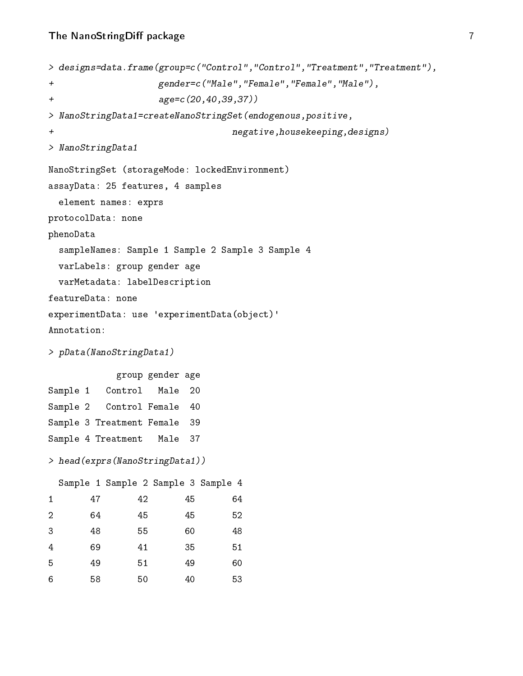```
> designs=data.frame(group=c("Control","Control","Treatment","Treatment"),
+ gender=c("Male","Female","Female","Male"),
+ age=c(20,40,39,37))
> NanoStringData1=createNanoStringSet(endogenous,positive,
+ negative,housekeeping,designs)
> NanoStringData1
NanoStringSet (storageMode: lockedEnvironment)
assayData: 25 features, 4 samples
 element names: exprs
protocolData: none
phenoData
 sampleNames: Sample 1 Sample 2 Sample 3 Sample 4
 varLabels: group gender age
 varMetadata: labelDescription
featureData: none
experimentData: use 'experimentData(object)'
Annotation:
> pData(NanoStringData1)
          group gender age
Sample 1 Control Male 20
Sample 2 Control Female 40
Sample 3 Treatment Female 39
Sample 4 Treatment Male 37
> head(exprs(NanoStringData1))
 Sample 1 Sample 2 Sample 3 Sample 4
1 47 42 45 64
2 64 45 45 52
3 48 55 60 48
4 69 41 35 51
5 49 51 49 60
6 58 50 40 53
```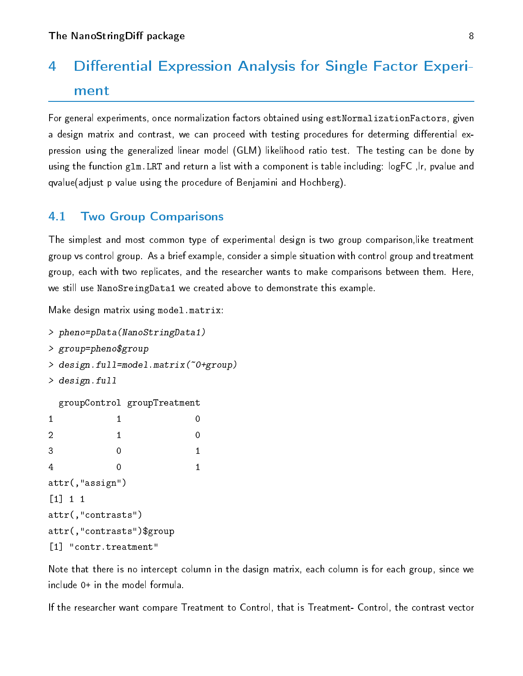# 4 Differential Expression Analysis for Single Factor Experiment

For general experiments, once normalization factors obtained using estNormalizationFactors, given a design matrix and contrast, we can proceed with testing procedures for determing differential expression using the generalized linear model (GLM) likelihood ratio test. The testing can be done by using the function glm.LRT and return a list with a component is table including: logFC ,lr, pvalue and qvalue(adjust p value using the procedure of Benjamini and Hochberg).

#### <span id="page-7-0"></span>4.1 Two Group Comparisons

The simplest and most common type of experimental design is two group comparison,like treatment group vs control group. As a brief example, consider a simple situation with control group and treatment group, each with two replicates, and the researcher wants to make comparisons between them. Here, we still use NanoSreingData1 we created above to demonstrate this example.

Make design matrix using model.matrix:

```
> pheno=pData(NanoStringData1)
> group=pheno$group
> design.full=model.matrix(~0+group)
> design.full
 groupControl groupTreatment
1 0
2 1 0
3 0 1
4 0 1
attr(,"assign")
[1] 1 1
attr(,"contrasts")
attr(,"contrasts")$group
[1] "contr.treatment"
```
Note that there is no intercept column in the dasign matrix, each column is for each group, since we include 0+ in the model formula.

If the researcher want compare Treatment to Control, that is Treatment- Control, the contrast vector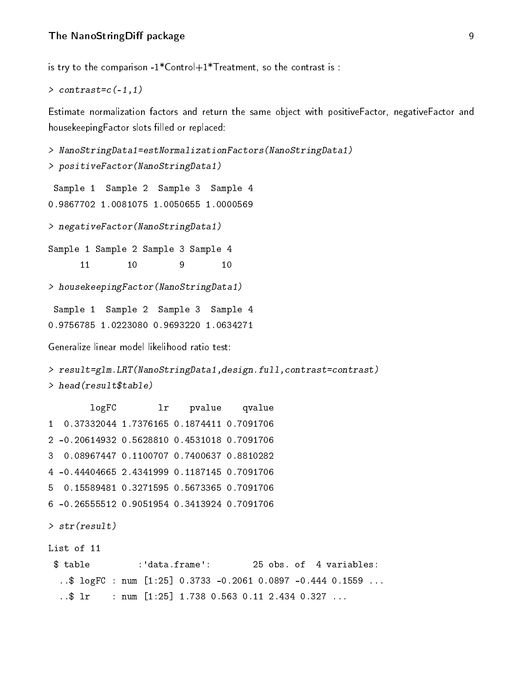is try to the comparison -1\*Control+1\*Treatment, so the contrast is :

```
> contrast=c(-1,1)
```
Estimate normalization factors and return the same object with positiveFactor, negativeFactor and housekeepingFactor slots filled or replaced:

```
> NanoStringData1=estNormalizationFactors(NanoStringData1)
> positiveFactor(NanoStringData1)
 Sample 1 Sample 2 Sample 3 Sample 4
0.9867702 1.0081075 1.0050655 1.0000569
> negativeFactor(NanoStringData1)
Sample 1 Sample 2 Sample 3 Sample 4
      11 10 9 10
> housekeepingFactor(NanoStringData1)
 Sample 1 Sample 2 Sample 3 Sample 4
0.9756785 1.0223080 0.9693220 1.0634271
Generalize linear model likelihood ratio test:
> result=glm.LRT(NanoStringData1,design.full,contrast=contrast)
> head(result$table)
        logFC lr pvalue qvalue
1 0.37332044 1.7376165 0.1874411 0.7091706
2 -0.20614932 0.5628810 0.4531018 0.7091706
3 0.08967447 0.1100707 0.7400637 0.8810282
4 -0.44404665 2.4341999 0.1187145 0.7091706
5 0.15589481 0.3271595 0.5673365 0.7091706
6 -0.26555512 0.9051954 0.3413924 0.7091706
> str(result)
List of 11
 $ table :'data.frame': 25 obs. of 4 variables:
  ..$ logFC : num [1:25] 0.3733 -0.2061 0.0897 -0.444 0.1559 ...
  \ldots$ lr : num [1:25] 1.738 0.563 0.11 2.434 0.327 ...
```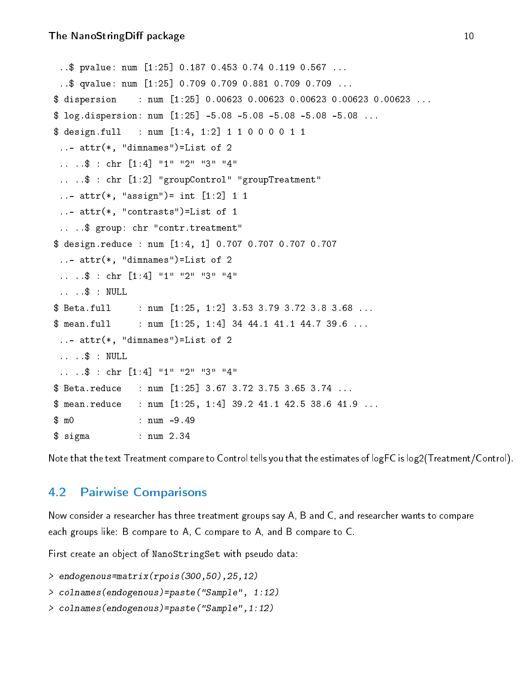```
..$ pvalue: num [1:25] 0.187 0.453 0.74 0.119 0.567 ...
 ..$ qvalue: num [1:25] 0.709 0.709 0.881 0.709 0.709 ...
$ dispersion : num [1:25] 0.00623 0.00623 0.00623 0.00623 0.00623 ...
$ log.dispersion: num [1:25] -5.08 -5.08 -5.08 -5.08 -5.08 ...
$ design.full : num [1:4, 1:2] 1 1 0 0 0 0 1 1
 ..- attr(*, "dimnames")=List of 2
 .. ..$ : chr [1:4] "1" "2" "3" "4"
 .. ..$ : chr [1:2] "groupControl" "groupTreatment"
 ..- attr(*, "assign") = int [1:2] 1 1..- attr(*, "contrasts")=List of 1
 .. ..$ group: chr "contr.treatment"
$ design.reduce : num [1:4, 1] 0.707 0.707 0.707 0.707
 ..- attr(*, "dimnames")=List of 2
 .. ..$ : chr [1:4] "1" "2" "3" "4"
 .. ..$ : NULL
$ Beta.full : num [1:25, 1:2] 3.53 3.79 3.72 3.8 3.68 ...
$ mean. full : num [1:25, 1:4] 34 44.1 41.1 44.7 39.6 .....- attr(*, "dimnames")=List of 2
 .. ..$ : NULL
 .. ..$ : chr [1:4] "1" "2" "3" "4"
$ Beta.reduce : num [1:25] 3.67 3.72 3.75 3.65 3.74 ...
$ mean.reduce : num [1:25, 1:4] 39.2 41.1 42.5 38.6 41.9 ...
$ m0 : num -9.49
$ sigma : num 2.34
```
Note that the text Treatment compare to Control tells you that the estimates of logFC is log2(Treatment/Control).

#### <span id="page-9-0"></span>4.2 Pairwise Comparisons

Now consider a researcher has three treatment groups say A, B and C, and researcher wants to compare each groups like: B compare to A, C compare to A, and B compare to C.

First create an object of NanoStringSet with pseudo data:

```
> endogenous=matrix(rpois(300,50),25,12)
```

```
> colnames(endogenous)=paste("Sample", 1:12)
```

```
> colnames(endogenous)=paste("Sample",1:12)
```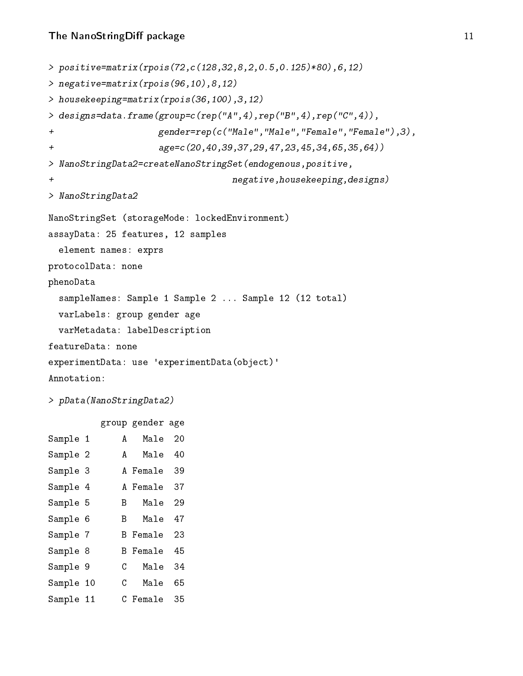```
> positive=matrix(rpois(72,c(128,32,8,2,0.5,0.125)*80),6,12)
> negative=matrix(rpois(96,10),8,12)
> housekeeping=matrix(rpois(36,100),3,12)
> designs=data.frame(group=c(rep("A",4),rep("B",4),rep("C",4)),
+ gender=rep(c("Male","Male","Female","Female"),3),
+ age=c(20,40,39,37,29,47,23,45,34,65,35,64))
> NanoStringData2=createNanoStringSet(endogenous,positive,
+ negative,housekeeping,designs)
> NanoStringData2
NanoStringSet (storageMode: lockedEnvironment)
assayData: 25 features, 12 samples
  element names: exprs
protocolData: none
phenoData
 sampleNames: Sample 1 Sample 2 ... Sample 12 (12 total)
 varLabels: group gender age
 varMetadata: labelDescription
featureData: none
experimentData: use 'experimentData(object)'
Annotation:
> pData(NanoStringData2)
```
group gender age

| Sample 1  | A  | Male     | 20 |
|-----------|----|----------|----|
| Sample 2  | A  | Male     | 40 |
| Sample 3  |    | A Female | 39 |
| Sample 4  |    | A Female | 37 |
| Sample 5  | R  | Male     | 29 |
| Sample 6  | B  | Male     | 47 |
| Sample 7  |    | B Female | 23 |
| Sample 8  | B. | Female   | 45 |
| Sample 9  | C  | Male     | 34 |
| Sample 10 | C  | Male     | 65 |
| Sample 11 |    | C Female | 35 |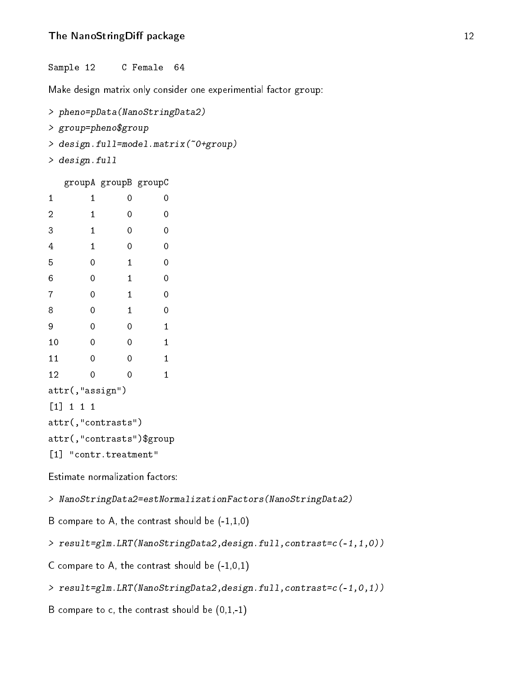#### The NanoStringDiff package 12

Sample 12 C Female 64

Make design matrix only consider one experimential factor group:

```
> pheno=pData(NanoStringData2)
> group=pheno$group
> design.full=model.matrix(~0+group)
> design.full
  groupA groupB groupC
```

| 1              | 1           |                       | 0                         | 0           |
|----------------|-------------|-----------------------|---------------------------|-------------|
| $\overline{c}$ | 1           |                       | 0                         | 0           |
| 3              | 1           |                       | 0                         | 0           |
| 4              | 1           |                       | 0                         | 0           |
| 5              | $\mathbf 0$ |                       | 1                         | $\mathbf 0$ |
| 6              | 0           |                       | 1                         | $\mathbf 0$ |
| 7              | 0           |                       | 1                         | $\mathbf 0$ |
| 8              | 0           |                       | 1                         | 0           |
| 9              | 0           |                       | 0                         | 1           |
| 10             | 0           |                       | 0                         | 1           |
| 11             | 0           |                       | 0                         | 1           |
| 12             | 0           |                       | 0                         | $\mathbf 1$ |
|                |             | attr(,"assign")       |                           |             |
|                | [1] 1 1 1   |                       |                           |             |
|                |             | attr(,"contrasts")    |                           |             |
|                |             |                       | attr(,"contrasts")\$group |             |
|                |             | [1] "contr.treatment" |                           |             |

Estimate normalization factors:

> NanoStringData2=estNormalizationFactors(NanoStringData2)

B compare to A, the contrast should be  $(-1,1,0)$ 

> result=glm.LRT(NanoStringData2,design.full,contrast=c(-1,1,0))

C compare to A, the contrast should be  $(-1,0,1)$ 

> result=glm.LRT(NanoStringData2,design.full,contrast=c(-1,0,1))

B compare to c, the contrast should be  $(0,1,-1)$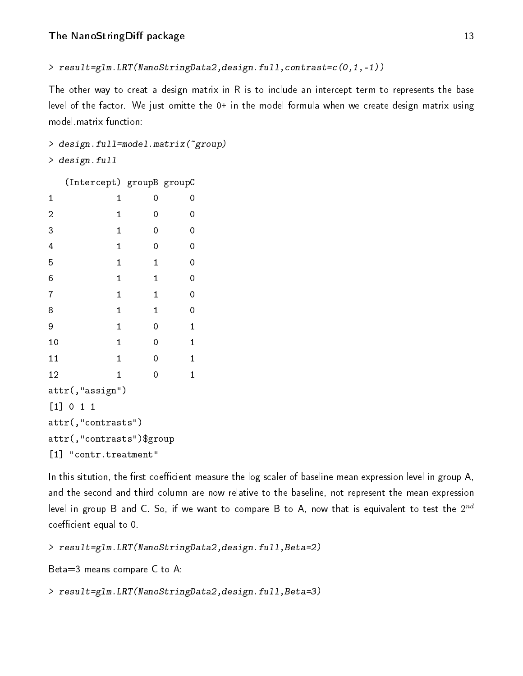```
> result=glm.LRT(NanoStringData2,design.full,contrast=c(0,1,-1))
```
The other way to creat a design matrix in R is to include an intercept term to represents the base level of the factor. We just omitte the 0+ in the model formula when we create design matrix using model.matrix function:

```
> design.full=model.matrix(~group)
> design.full
```
(Intercept) groupB groupC

| 1                         | $\mathbf 1$ | 0            | 0           |  |  |  |  |
|---------------------------|-------------|--------------|-------------|--|--|--|--|
| $\overline{a}$            | 1           | 0            | 0           |  |  |  |  |
| 3                         | $\mathbf 1$ | 0            | 0           |  |  |  |  |
| $\overline{4}$            | $\mathbf 1$ | 0            | 0           |  |  |  |  |
| 5                         | $\mathbf 1$ | $\mathbf{1}$ | 0           |  |  |  |  |
| 6                         | $\mathbf 1$ | $\mathbf{1}$ | 0           |  |  |  |  |
| 7                         | $\mathbf 1$ | $\mathbf{1}$ | 0           |  |  |  |  |
| 8                         | $\mathbf 1$ | $\mathbf{1}$ | 0           |  |  |  |  |
| 9                         | $\mathbf 1$ | 0            | $\mathbf 1$ |  |  |  |  |
| 10                        | $\mathbf 1$ | 0            | $\mathbf 1$ |  |  |  |  |
| 11                        | $\mathbf 1$ | 0            | $\mathbf 1$ |  |  |  |  |
| 12                        | $\mathbf 1$ | 0            | $\mathbf 1$ |  |  |  |  |
| attr(,"assign")           |             |              |             |  |  |  |  |
| [1] 0 1 1                 |             |              |             |  |  |  |  |
| attr(,"contrasts")        |             |              |             |  |  |  |  |
| attr(,"contrasts")\$group |             |              |             |  |  |  |  |
| [1] "contr.treatment"     |             |              |             |  |  |  |  |

In this sitution, the first coefficient measure the log scaler of baseline mean expression level in group A, and the second and third column are now relative to the baseline, not represent the mean expression level in group B and C. So, if we want to compare B to A, now that is equivalent to test the  $2^{nd}$ coefficient equal to 0.

```
> result=glm.LRT(NanoStringData2,design.full,Beta=2)
```

```
Beta=3 means compare C to A:
```
<span id="page-12-0"></span>> result=glm.LRT(NanoStringData2,design.full,Beta=3)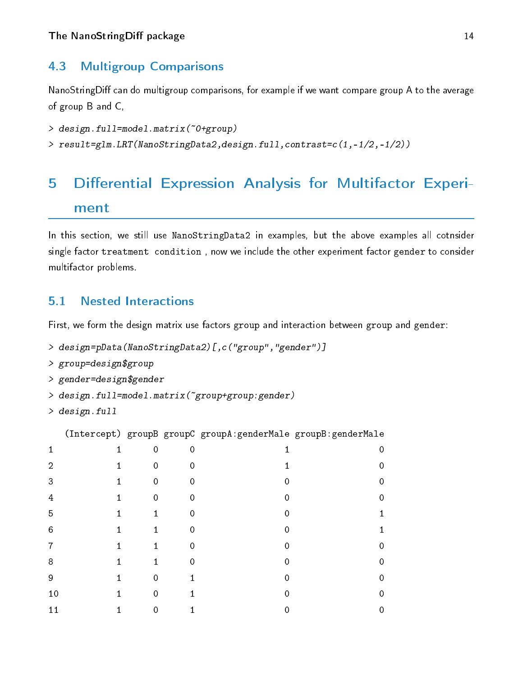#### 4.3 Multigroup Comparisons

NanoStringDiff can do multigroup comparisons, for example if we want compare group A to the average of group B and C,

```
> design.full=model.matrix(~0+group)
```
> result=glm.LRT(NanoStringData2,design.full,contrast=c(1,-1/2,-1/2))

# <span id="page-13-0"></span>5 Differential Expression Analysis for Multifactor Experiment

In this section, we still use NanoStringData2 in examples, but the above examples all cotnsider single factor treatment condition , now we include the other experiment factor gender to consider multifactor problems.

#### <span id="page-13-1"></span>5.1 Nested Interactions

First, we form the design matrix use factors group and interaction between group and gender:

```
> design=pData(NanoStringData2)[,c("group","gender")]
```

```
> group=design$group
```

```
> gender=design$gender
```

```
> design.full=model.matrix(~group+group:gender)
```
> design.full

(Intercept) groupB groupC groupA:genderMale groupB:genderMale

| 1              | 1            | $\mathbf 0$         | 0           |             | 0 |
|----------------|--------------|---------------------|-------------|-------------|---|
| $\overline{2}$ | $\mathbf{1}$ | $\pmb 0$            | $\mathbf 0$ | 4           | 0 |
| 3              | $\mathbf{1}$ | $\pmb 0$            | $\mathbf 0$ | 0           | 0 |
| $\overline{4}$ | $\mathbf{1}$ | $\pmb 0$            | $\mathbf 0$ | $\mathbf 0$ | 0 |
| 5              | $\mathbf{1}$ | $\mathbf{1}$        | $\mathbf 0$ | 0           | 1 |
| $\,6$          | $\mathbf 1$  | $\mathbf{1}$        | $\mathbf 0$ | 0           | 1 |
| $\overline{7}$ | $\mathbf{1}$ | $\mathbf{1}$        | $\mathbf 0$ | 0           | 0 |
| 8              | 1            | $\mathbf{1}$        | $\mathbf 0$ | 0           | 0 |
| 9              | $\mathbf 1$  | $\mathsf{O}\xspace$ | 1           | 0           | 0 |
| 10             | 1            | 0                   |             | ი           | 0 |
| 11             | 1            | 0                   |             |             | 0 |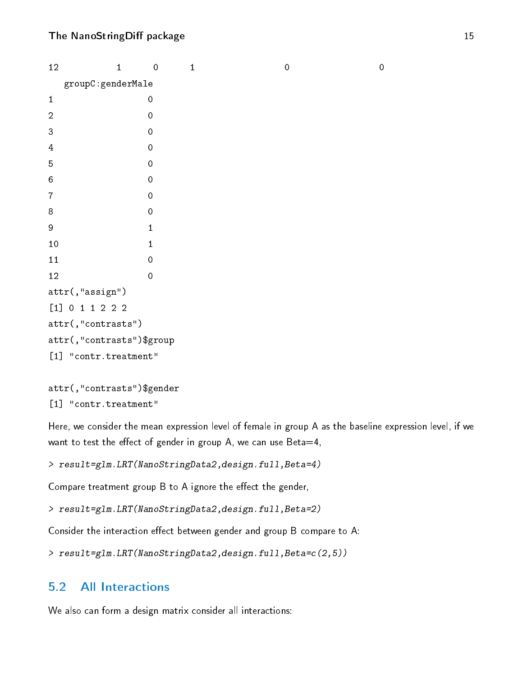| 12                                          | $\mathbf{1}$ | $\mathbf 0$         | $\mathbf{1}$ | $\mathbf 0$ | $\mathbf 0$ |  |  |  |
|---------------------------------------------|--------------|---------------------|--------------|-------------|-------------|--|--|--|
| $\texttt{groupC} \!:\! \texttt{genderMale}$ |              |                     |              |             |             |  |  |  |
| $\mathbf 1$                                 |              | 0                   |              |             |             |  |  |  |
| $\sqrt{2}$                                  |              | $\mathbf 0$         |              |             |             |  |  |  |
| $\ensuremath{\mathsf{3}}$                   |              | $\mathbf 0$         |              |             |             |  |  |  |
| $\overline{4}$                              |              | $\mathbf 0$         |              |             |             |  |  |  |
| $\overline{5}$                              |              | $\mathbf 0$         |              |             |             |  |  |  |
| $\,6\,$                                     |              | $\mathbf 0$         |              |             |             |  |  |  |
| $\overline{7}$                              |              | $\mathsf{O}\xspace$ |              |             |             |  |  |  |
| 8                                           |              | $\mathbf 0$         |              |             |             |  |  |  |
| $\boldsymbol{9}$                            |              | $\mathbf{1}$        |              |             |             |  |  |  |
| $10\,$                                      |              | 1                   |              |             |             |  |  |  |
| 11                                          |              | $\mathbf 0$         |              |             |             |  |  |  |
| 12                                          |              | $\mathbf 0$         |              |             |             |  |  |  |
| $attr($ , "assign")                         |              |                     |              |             |             |  |  |  |
| $[1] 0 1 1 2 2 2$                           |              |                     |              |             |             |  |  |  |
| attr(,"contrasts")                          |              |                     |              |             |             |  |  |  |
| attr(,"contrasts")\$group                   |              |                     |              |             |             |  |  |  |
| "contr.treatment"<br>$[1]$                  |              |                     |              |             |             |  |  |  |

```
attr(,"contrasts")$gender
[1] "contr.treatment"
```
Here, we consider the mean expression level of female in group A as the baseline expression level, if we want to test the effect of gender in group A, we can use Beta=4,

```
> result=glm.LRT(NanoStringData2,design.full,Beta=4)
```
Compare treatment group  $B$  to  $A$  ignore the effect the gender,

```
> result=glm.LRT(NanoStringData2,design.full,Beta=2)
```
Consider the interaction effect between gender and group B compare to A:

```
> result=glm.LRT(NanoStringData2,design.full,Beta=c(2,5))
```
### <span id="page-14-0"></span>5.2 All Interactions

We also can form a design matrix consider all interactions: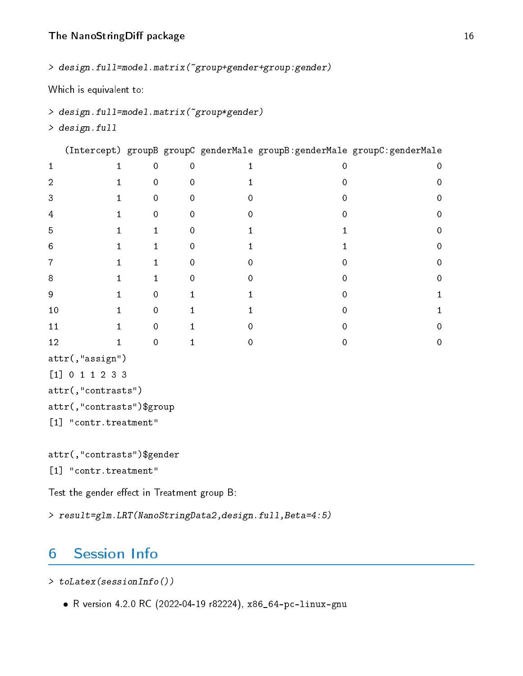> design.full=model.matrix(~group+gender+group:gender)

Which is equivalent to:

```
> design.full=model.matrix(~group*gender)
```
> design.full

(Intercept) groupB groupC genderMale groupB:genderMale groupC:genderMale

| 1                              | 1  | 0 | 0 |  | 0           |
|--------------------------------|----|---|---|--|-------------|
| $\overline{2}$                 |    | 0 | 0 |  | $\mathbf 0$ |
| 3                              |    | 0 | 0 |  | 0           |
| $\overline{4}$                 |    | 0 | Λ |  | 0           |
| 5                              |    |   | Λ |  | 0           |
| 6                              |    |   | ი |  | 0           |
| $\overline{7}$                 | 1. |   | 0 |  | 0           |
| $\bf 8$                        |    |   | 0 |  | 0           |
| $\boldsymbol{9}$               |    | ი |   |  |             |
| $10$                           |    | 0 |   |  |             |
| 11                             |    | Λ |   |  | 0           |
| 12                             |    | 0 |   |  | 0           |
| $\texttt{attr}(\tt, "assign")$ |    |   |   |  |             |

```
[1] 0 1 1 2 3 3
attr(,"contrasts")
attr(,"contrasts")$group
```

```
[1] "contr.treatment"
```

```
attr(,"contrasts")$gender
```

```
[1] "contr.treatment"
```
Test the gender effect in Treatment group  $B$ :

> result=glm.LRT(NanoStringData2,design.full,Beta=4:5)

# <span id="page-15-0"></span>6 Session Info

> toLatex(sessionInfo())

R version 4.2.0 RC (2022-04-19 r82224), x86\_64-pc-linux-gnu